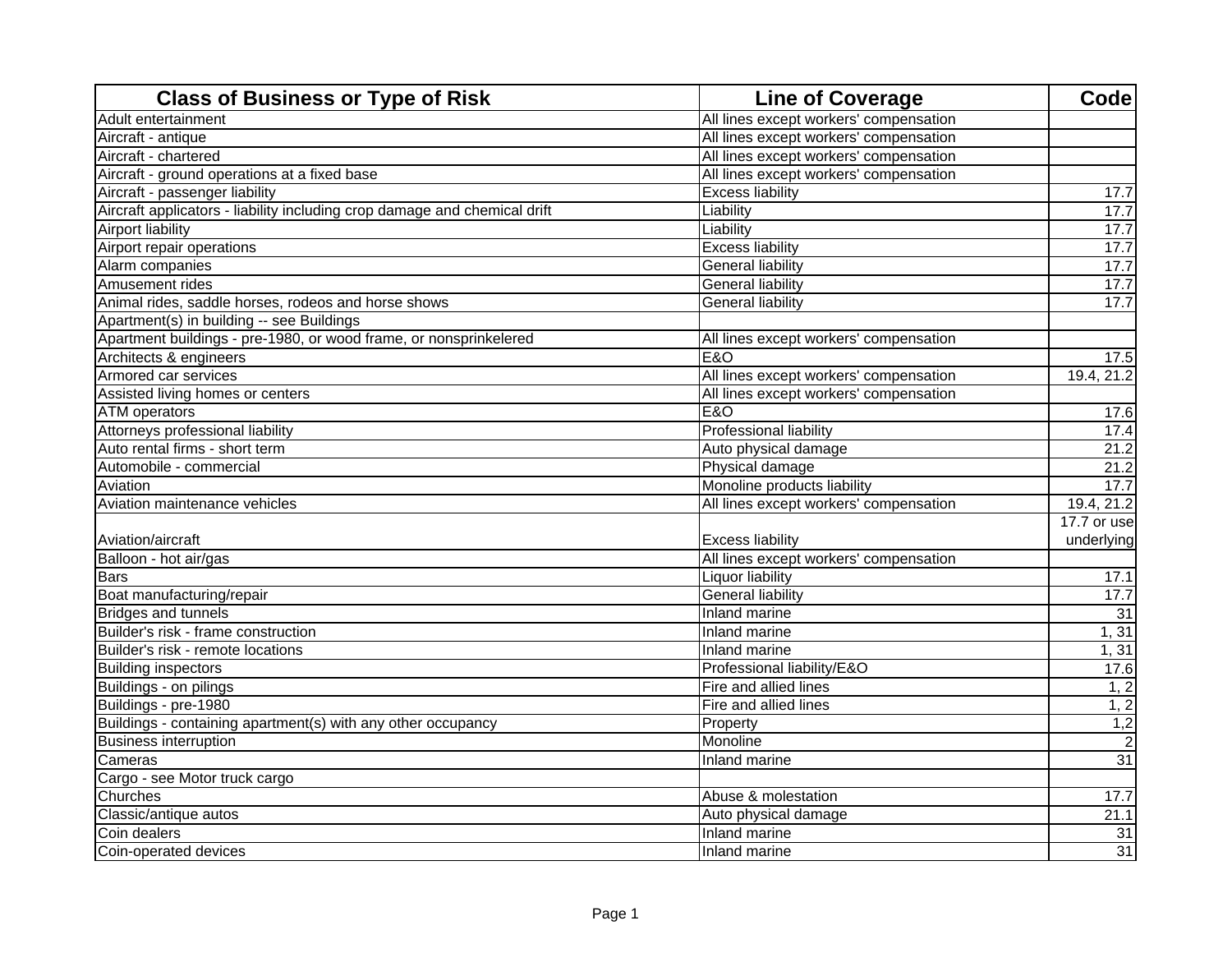| <b>Class of Business or Type of Risk</b>                                  | <b>Line of Coverage</b>                | <b>Code</b>     |
|---------------------------------------------------------------------------|----------------------------------------|-----------------|
| Adult entertainment                                                       | All lines except workers' compensation |                 |
| Aircraft - antique                                                        | All lines except workers' compensation |                 |
| Aircraft - chartered                                                      | All lines except workers' compensation |                 |
| Aircraft - ground operations at a fixed base                              | All lines except workers' compensation |                 |
| Aircraft - passenger liability                                            | <b>Excess liability</b>                | 17.7            |
| Aircraft applicators - liability including crop damage and chemical drift | Liability                              | 17.7            |
| Airport liability                                                         | Liability                              | 17.7            |
| Airport repair operations                                                 | <b>Excess liability</b>                | 17.7            |
| Alarm companies                                                           | <b>General liability</b>               | 17.7            |
| Amusement rides                                                           | <b>General liability</b>               | 17.7            |
| Animal rides, saddle horses, rodeos and horse shows                       | <b>General liability</b>               | 17.7            |
| Apartment(s) in building -- see Buildings                                 |                                        |                 |
| Apartment buildings - pre-1980, or wood frame, or nonsprinkelered         | All lines except workers' compensation |                 |
| Architects & engineers                                                    | <b>E&amp;O</b>                         | 17.5            |
| Armored car services                                                      | All lines except workers' compensation | 19.4, 21.2      |
| Assisted living homes or centers                                          | All lines except workers' compensation |                 |
| <b>ATM</b> operators                                                      | <b>E&amp;O</b>                         | 17.6            |
| Attorneys professional liability                                          | <b>Professional liability</b>          | 17.4            |
| Auto rental firms - short term                                            | Auto physical damage                   | 21.2            |
| Automobile - commercial                                                   | Physical damage                        | 21.2            |
| Aviation                                                                  | Monoline products liability            | 17.7            |
| Aviation maintenance vehicles                                             | All lines except workers' compensation | 19.4, 21.2      |
|                                                                           |                                        | 17.7 or use     |
| Aviation/aircraft                                                         | <b>Excess liability</b>                | underlying      |
| Balloon - hot air/gas                                                     | All lines except workers' compensation |                 |
| <b>Bars</b>                                                               | <b>Liquor liability</b>                | 17.1            |
| Boat manufacturing/repair                                                 | <b>General liability</b>               | 17.7            |
| <b>Bridges and tunnels</b>                                                | Inland marine                          | 31              |
| Builder's risk - frame construction                                       | Inland marine                          | 1, 31           |
| Builder's risk - remote locations                                         | Inland marine                          | 1, 31           |
| <b>Building inspectors</b>                                                | Professional liability/E&O             | 17.6            |
| Buildings - on pilings                                                    | Fire and allied lines                  | 1, 2            |
| Buildings - pre-1980                                                      | Fire and allied lines                  | 1, 2            |
| Buildings - containing apartment(s) with any other occupancy              | Property                               | 1,2             |
| <b>Business interruption</b>                                              | Monoline                               |                 |
| Cameras                                                                   | Inland marine                          | $\overline{31}$ |
| Cargo - see Motor truck cargo                                             |                                        |                 |
| Churches                                                                  | Abuse & molestation                    | 17.7            |
| Classic/antique autos                                                     | Auto physical damage                   | 21.1            |
| Coin dealers                                                              | Inland marine                          | 31              |
| Coin-operated devices                                                     | Inland marine                          | 31              |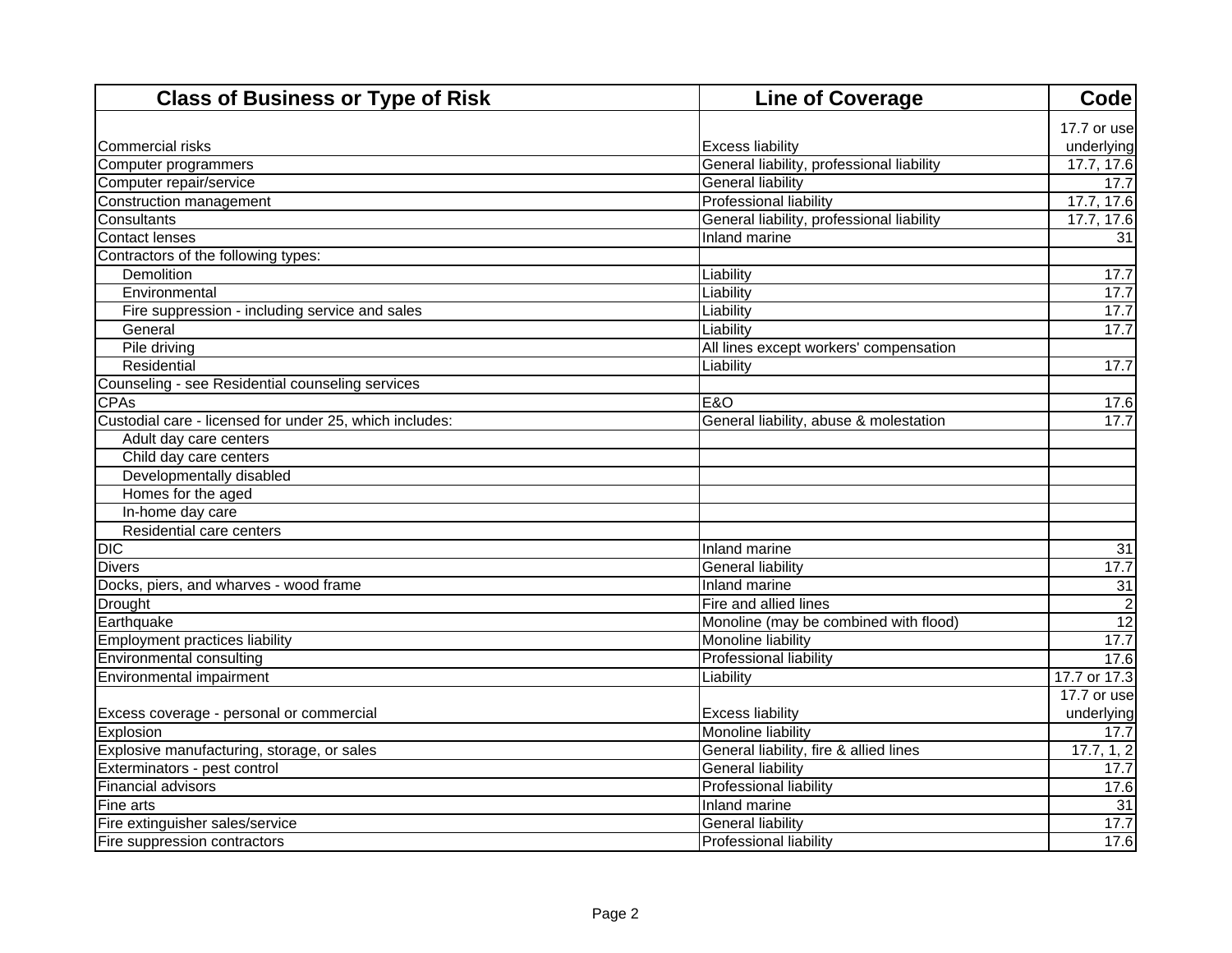| <b>Class of Business or Type of Risk</b>                | <b>Line of Coverage</b>                   | <b>Code</b>     |
|---------------------------------------------------------|-------------------------------------------|-----------------|
|                                                         |                                           | 17.7 or use     |
| <b>Commercial risks</b>                                 | <b>Excess liability</b>                   | underlying      |
| Computer programmers                                    | General liability, professional liability | 17.7, 17.6      |
| Computer repair/service                                 | <b>General liability</b>                  | 17.7            |
| Construction management                                 | <b>Professional liability</b>             | 17.7, 17.6      |
| Consultants                                             | General liability, professional liability | 17.7, 17.6      |
| <b>Contact lenses</b>                                   | <b>Inland marine</b>                      | 31              |
| Contractors of the following types:                     |                                           |                 |
| Demolition                                              | Liability                                 | 17.7            |
| Environmental                                           | Liability                                 | 17.7            |
| Fire suppression - including service and sales          | Liability                                 | 17.7            |
| General                                                 | Liability                                 | 17.7            |
| Pile driving                                            | All lines except workers' compensation    |                 |
| Residential                                             | Liability                                 | 17.7            |
| Counseling - see Residential counseling services        |                                           |                 |
| <b>CPAs</b>                                             | <b>E&amp;O</b>                            | 17.6            |
| Custodial care - licensed for under 25, which includes: | General liability, abuse & molestation    | 17.7            |
| Adult day care centers                                  |                                           |                 |
| Child day care centers                                  |                                           |                 |
| Developmentally disabled                                |                                           |                 |
| Homes for the aged                                      |                                           |                 |
| In-home day care                                        |                                           |                 |
| Residential care centers                                |                                           |                 |
| <b>DIC</b>                                              | <b>Inland marine</b>                      | $\overline{31}$ |
| <b>Divers</b>                                           | <b>General liability</b>                  | 17.7            |
| Docks, piers, and wharves - wood frame                  | Inland marine                             | 31              |
| Drought                                                 | Fire and allied lines                     |                 |
| Earthquake                                              | Monoline (may be combined with flood)     | $\overline{12}$ |
| <b>Employment practices liability</b>                   | Monoline liability                        | 17.7            |
| Environmental consulting                                | <b>Professional liability</b>             | 17.6            |
| Environmental impairment                                | Liability                                 | 17.7 or 17.3    |
|                                                         |                                           | 17.7 or use     |
| Excess coverage - personal or commercial                | <b>Excess liability</b>                   | underlying      |
| Explosion                                               | Monoline liability                        | 17.7            |
| Explosive manufacturing, storage, or sales              | General liability, fire & allied lines    | 17.7, 1, 2      |
| Exterminators - pest control                            | <b>General liability</b>                  | 17.7            |
| Financial advisors                                      | Professional liability                    | 17.6            |
| Fine arts                                               | Inland marine                             | $\overline{31}$ |
| Fire extinguisher sales/service                         | <b>General liability</b>                  | 17.7            |
| Fire suppression contractors                            | <b>Professional liability</b>             | 17.6            |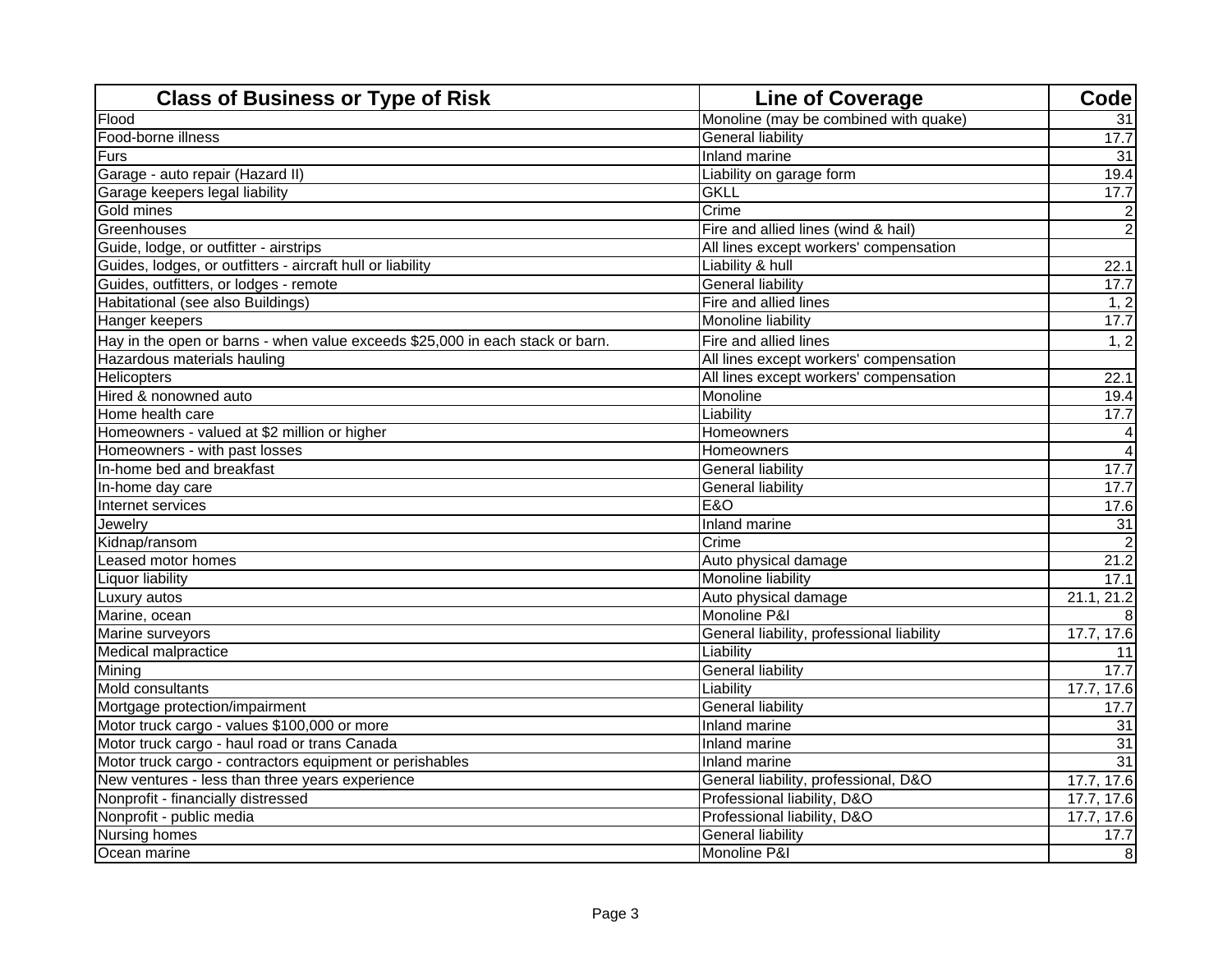| <b>Class of Business or Type of Risk</b>                                      | <b>Line of Coverage</b>                   | Code            |
|-------------------------------------------------------------------------------|-------------------------------------------|-----------------|
| Flood                                                                         | Monoline (may be combined with quake)     | 31              |
| Food-borne illness                                                            | <b>General liability</b>                  | 17.7            |
| <b>Furs</b>                                                                   | Inland marine                             | $\overline{31}$ |
| Garage - auto repair (Hazard II)                                              | Liability on garage form                  | 19.4            |
| Garage keepers legal liability                                                | <b>GKLL</b>                               | 17.7            |
| Gold mines                                                                    | Crime                                     | 2               |
| Greenhouses                                                                   | Fire and allied lines (wind & hail)       | $\overline{2}$  |
| Guide, lodge, or outfitter - airstrips                                        | All lines except workers' compensation    |                 |
| Guides, lodges, or outfitters - aircraft hull or liability                    | Liability & hull                          | 22.1            |
| Guides, outfitters, or lodges - remote                                        | <b>General liability</b>                  | 17.7            |
| Habitational (see also Buildings)                                             | Fire and allied lines                     | 1, 2            |
| <b>Hanger keepers</b>                                                         | Monoline liability                        | 17.7            |
| Hay in the open or barns - when value exceeds \$25,000 in each stack or barn. | Fire and allied lines                     | 1, 2            |
| Hazardous materials hauling                                                   | All lines except workers' compensation    |                 |
| Helicopters                                                                   | All lines except workers' compensation    | 22.1            |
| Hired & nonowned auto                                                         | Monoline                                  | 19.4            |
| Home health care                                                              | Liability                                 | 17.7            |
| Homeowners - valued at \$2 million or higher                                  | Homeowners                                | 4               |
| Homeowners - with past losses                                                 | Homeowners                                | $\overline{4}$  |
| In-home bed and breakfast                                                     | <b>General liability</b>                  | 17.7            |
| In-home day care                                                              | <b>General liability</b>                  | 17.7            |
| Internet services                                                             | <b>E&amp;O</b>                            | 17.6            |
| Jewelry                                                                       | Inland marine                             | $\overline{31}$ |
| Kidnap/ransom                                                                 | Crime                                     | $\overline{2}$  |
| Leased motor homes                                                            | Auto physical damage                      | 21.2            |
| <b>Liquor liability</b>                                                       | Monoline liability                        | 17.1            |
| Luxury autos                                                                  | Auto physical damage                      | 21.1, 21.2      |
| Marine, ocean                                                                 | Monoline P&I                              |                 |
| Marine surveyors                                                              | General liability, professional liability | 17.7, 17.6      |
| Medical malpractice                                                           | Liability                                 | 11              |
| Mining                                                                        | <b>General liability</b>                  | 17.7            |
| Mold consultants                                                              | Liability                                 | 17.7, 17.6      |
| Mortgage protection/impairment                                                | <b>General liability</b>                  | 17.7            |
| Motor truck cargo - values \$100,000 or more                                  | Inland marine                             | 31              |
| Motor truck cargo - haul road or trans Canada                                 | Inland marine                             | 31              |
| Motor truck cargo - contractors equipment or perishables                      | Inland marine                             | 31              |
| New ventures - less than three years experience                               | General liability, professional, D&O      | 17.7, 17.6      |
| Nonprofit - financially distressed                                            | Professional liability, D&O               | 17.7, 17.6      |
| Nonprofit - public media                                                      | Professional liability, D&O               | 17.7, 17.6      |
| Nursing homes                                                                 | <b>General liability</b>                  | 17.7            |
| Ocean marine                                                                  | Monoline P&I                              | 8               |